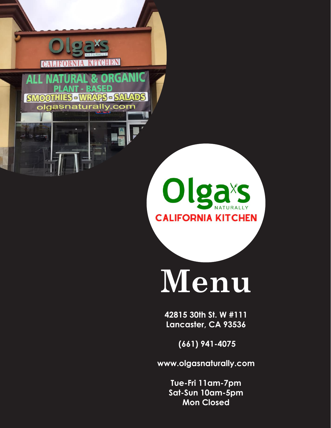

**ALL** 

**SMOOTH** 

# **Menu**

**42815 30th St. W #111 Lancaster, CA 93536**

 **(661) 941-4075**

**www.olgasnaturally.com**

**Tue-Fri 11am-7pm Sat-Sun 10am-5pm Mon Closed**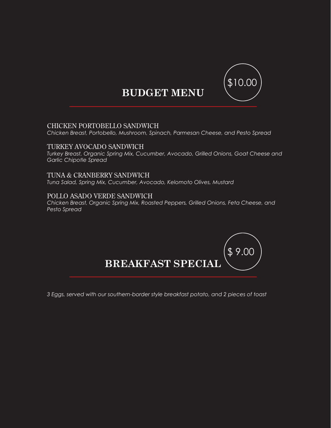

# **BUDGET MENU**

### CHICKEN PORTOBELLO SANDWICH

*Chicken Breast, Portobello, Mushroom, Spinach, Parmesan Cheese, and Pesto Spread*

### TURKEY AVOCADO SANDWICH

*Turkey Breast, Organic Spring Mix, Cucumber, Avocado, Grilled Onions, Goat Cheese and Garlic Chipotle Spread*

## TUNA & CRANBERRY SANDWICH

*Tuna Salad, Spring Mix, Cucumber, Avocado, Kelomoto Olives, Mustard*

### POLLO ASADO VERDE SANDWICH

*Chicken Breast, Organic Spring Mix, Roasted Peppers, Grilled Onions, Feta Cheese, and Pesto Spread*



*3 Eggs, served with our southern-border style breakfast potato, and 2 pieces of toast*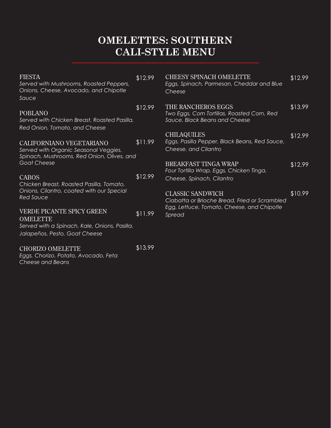# **OMELETTES: SOUTHERN CALI-STYLE MENU**

| <b>FIESTA</b><br>Served with Mushrooms, Roasted Peppers,<br>Onions, Cheese, Avocado, and Chipotle<br>Sauce                     | \$12.99 | <b>CHEESY SPINACH OMELETTE</b><br>Eggs, Spinach, Parmesan, Cheddar and Blue<br>Cheese              | \$12.99 |
|--------------------------------------------------------------------------------------------------------------------------------|---------|----------------------------------------------------------------------------------------------------|---------|
| <b>POBLANO</b><br>Served with Chicken Breast, Roasted Pasilla,<br>Red Onion, Tomato, and Cheese                                | \$12.99 | THE RANCHEROS EGGS<br>Two Eggs, Corn Tortillas, Roasted Corn, Red<br>Sauce, Black Beans and Cheese | \$13.99 |
| CALIFORNIANO VEGETARIANO<br>Served with Organic Seasonal Veggies,<br>Spinach, Mushrooms, Red Onion, Olives, and                | \$11.99 | <b>CHILAQUILES</b><br>Eggs, Pasilla Pepper, Black Beans, Red Sauce,<br>Cheese, and Cilantro        | \$12.99 |
| Goat Cheese                                                                                                                    |         | <b>BREAKFAST TINGA WRAP</b><br>Four Tortilla Wrap, Eggs, Chicken Tinga,                            | \$12.99 |
| <b>CABOS</b><br>Chicken Breast, Roasted Pasilla, Tomato,                                                                       | \$12.99 | Cheese, Spinach, Cilantro                                                                          |         |
| Onions, Cilantro, coated with our Special<br><b>Red Sauce</b>                                                                  |         | <b>CLASSIC SANDWICH</b><br>Ciabatta or Brioche Bread, Fried or Scrambled                           | \$10.99 |
| VERDE PICANTE SPICY GREEN<br><b>OMELETTE</b><br>Served with a Spinach, Kale, Onions, Pasilla,<br>Jalapeños, Pesto, Goat Cheese | \$11.99 | Egg, Lettuce, Tomato, Cheese, and Chipotle<br>Spread                                               |         |

### CHORIZO OMELETTE

*Eggs, Chorizo, Potato, Avocado, Feta Cheese and Beans*

\$13.99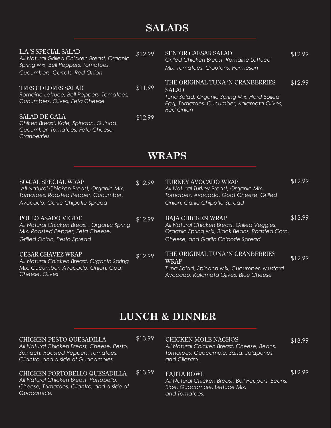# **SALADS**

| <b>L.A.'S SPECIAL SALAD</b><br>All Natural Grilled Chicken Breast, Organic<br>Spring Mix, Bell Peppers, Tomatoes,<br>Cucumbers, Carrots, Red Onion | \$12.99 | <b>SENIOR CAESAR SALAD</b><br><b>Grilled Chicken Breast, Romaine Lettuce</b><br>Mix, Tomatoes, Croutons, Parmesan                                                | \$12.99 |  |
|----------------------------------------------------------------------------------------------------------------------------------------------------|---------|------------------------------------------------------------------------------------------------------------------------------------------------------------------|---------|--|
| <b>TRES COLORES SALAD</b><br>Romaine Lettuce, Bell Peppers, Tomatoes,<br>Cucumbers, Olives, Feta Cheese                                            | \$11.99 | THE ORIGINAL TUNA 'N CRANBERRIES<br><b>SALAD</b><br>Tuna Salad, Organic Spring Mix, Hard Boiled<br>Egg, Tomatoes, Cucumber, Kalamata Olives,<br><b>Red Onion</b> | \$12.99 |  |
| <b>SALAD DE GALA</b><br>Chiken Breast, Kale, Spinach, Quinoa,<br>Cucumber, Tomatoes, Feta Cheese,<br>Cranberries                                   | \$12.99 |                                                                                                                                                                  |         |  |
| <b>WRAPS</b>                                                                                                                                       |         |                                                                                                                                                                  |         |  |
| <b>SO-CAL SPECIAL WRAP</b><br>All Natural Chicken Breast, Organic Mix,<br>$T = 1$                                                                  | \$12.99 | <b>TURKEY AVOCADO WRAP</b><br>All Natural Turkey Breast, Organic Mix,<br>$T = 1$                                                                                 | \$12.99 |  |

| <b>SO-CAL SPECIAL WRAP</b><br>All Natural Chicken Breast, Organic Mix,<br>Tomatoes, Roasted Pepper, Cucumber,<br>Avocado, Garlic Chipotle Spread | \$12.99 | <b>TURKEY AVOCADO WRAP</b><br>All Natural Turkey Breast, Organic Mix,<br>Tomatoes, Avocado, Goat Cheese, Grilled<br>Onion, Garlic Chipotle Spread                | \$12.99 |
|--------------------------------------------------------------------------------------------------------------------------------------------------|---------|------------------------------------------------------------------------------------------------------------------------------------------------------------------|---------|
| POLLO ASADO VERDE<br>All Natural Chicken Breast, Organic Spring<br>Mix, Roasted Pepper, Feta Cheese,<br>Grilled Onion, Pesto Spread              | \$12.99 | <b>BAJA CHICKEN WRAP</b><br>All Natural Chicken Breast, Grilled Veggies,<br>Organic Spring Mix, Black Beans, Roasted Corn,<br>Cheese, and Garlic Chipotle Spread | \$13.99 |
| <b>CESAR CHAVEZ WRAP</b><br>All Natural Chicken Breast, Organic Spring<br>Mix, Cucumber, Avocado, Onion, Goat<br>Cheese, Olives                  | \$12.99 | THE ORIGINAL TUNA 'N CRANBERRIES<br>WRAP<br>Tuna Salad, Spinach Mix, Cucumber, Mustard<br>Avocado, Kalamata Olives, Blue Cheese                                  | \$12.99 |

# **LUNCH & DINNER**

\$13.99

### CHICKEN PESTO QUESADILLA

*All Natural Chicken Breast, Cheese, Pesto, Spinach, Roasted Peppers, Tomatoes, Cilantro, and a side of Guacamoles.*

#### \$13.99 CHICKEN PORTOBELLO QUESADILLA *All Natural Chicken Breast, Portobello, Cheese, Tomatoes, Cilantro, and a side of Guacamole.*

# CHICKEN MOLE NACHOS

\$13.99

*All Natural Chicken Breast, Cheese, Beans, Tomatoes, Guacamole, Salsa, Jalapenos, and Cilantro.* 

### FAJITA BOWL

\$12.99

*All Natural Chicken Breast, Bell Peppers, Beans, Rice, Guacamole, Lettuce Mix, and Tomatoes.*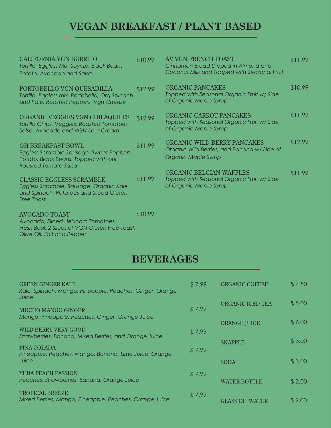# **VEGAN BREAKFAST / PLANT BASED**

| <b>CALIFORNIA VGN BURRITO</b><br>Tortilla, Eggless Mix, Soyrizo, Black Beans,<br>Potato, Avocado and Salsa                                   | \$10.99 | AV VGN FRENCH TOAST<br>Cinnamon Bread Dipped in Almond and<br>Coconut Milk and Topped with Seasonal Fruit | \$11.99 |
|----------------------------------------------------------------------------------------------------------------------------------------------|---------|-----------------------------------------------------------------------------------------------------------|---------|
| PORTOBELLO VGN QUESADILLA<br>Tortilla, Eggless mix, Portobello, Org Spinach<br>and Kale, Roasted Peppers, Vgn Cheese                         | \$12.99 | <b>ORGANIC PANCAKES</b><br>Topped with Seasonal Organic Fruit w/ Side<br>of Organic Maple Syrup           | \$10.99 |
| ORGANIC VEGGIES VGN CHILAQUILES<br>Tortilla Chips, Veggies, Roasted Tomatoes<br>Salsa, Avocado and VGN Sour Cream                            | \$12.99 | ORGANIC CARROT PANCAKES<br>Topped with Seasonal Organic Fruit w/ Side<br>of Organic Maple Syrup           | \$11.99 |
| <b>QH BREAKFAST BOWL</b><br>Eggless Scramble, Sausage, Sweet Peppers,<br>Potato, Black Beans. Topped with our<br><b>Roasted Tomato Salsa</b> | \$11.99 | ORGANIC WILD BERRY PANCAKES<br>Organic Wild Berries, and Banana w/ Side of<br>Organic Maple Syrup         | \$12.99 |
| <b>CLASSIC EGGLESS SCRAMBLE</b><br>Eggless Scramble, Sausage, Organic Kale<br>and Spinach, Potatoes and Sliced Gluten<br><b>Free Toast</b>   | \$11.99 | <b>ORGANIC BELGIAN WAFFLES</b><br>Topped with Seasonal Organic Fruit w/ Side<br>of Organic Maple Syrup    | \$11.99 |
| <b>AVOCADO TOAST</b>                                                                                                                         | \$10.99 |                                                                                                           |         |

*Avocado, Sliced Heirloom Tomatoes, Fresh Basil, 2 Slices of VGN Gluten Free Toast, Olive Oil, Salt and Pepper*

## **BEVERAGES**

| <b>GREEN GINGER KALE</b><br>Kale, Spinach, Mango, Pineapple, Peaches, Ginger, Orange<br>Juice | \$7.99 | <b>ORGANIC COFFEE</b>   | \$4.50 |
|-----------------------------------------------------------------------------------------------|--------|-------------------------|--------|
| <b>MUCHO MANGO GINGER</b>                                                                     | \$7.99 | <b>ORGANIC ICED TEA</b> | \$5.00 |
| Mango, Pineapple, Peaches, Ginger, Orange Juice<br>WILD BERRY VERY GOOD                       |        | <b>ORANGE JUICE</b>     | \$6.00 |
| Strawberries, Banana, Mixed Berries, and Orange Juice                                         | \$7.99 | <b>SNAPPLE</b>          | \$3.00 |
| PINA COLADA<br>Pineapple, Peaches, Mango, Banana, Lime Juice, Orange<br>Juice                 | \$7.99 | <b>SODA</b>             | \$3.00 |
| <b>YUBA PEACH PASSION</b><br>Peaches, Strawberries, Banana, Orange Juice                      | \$7.99 | WATER BOTTLE            | \$2.00 |
| <b>TROPICAL BREEZE</b><br>Mixed Berries, Mango, Pineapple, Peaches, Orange Juice              | \$7.99 | <b>GLASS OF WATER</b>   | \$2.00 |